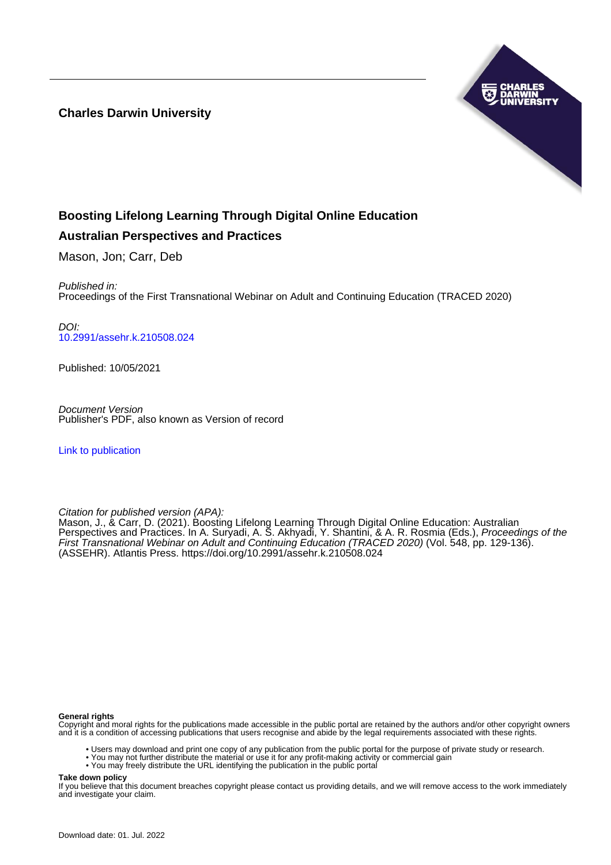**Charles Darwin University**



# **Boosting Lifelong Learning Through Digital Online Education**

# **Australian Perspectives and Practices**

Mason, Jon; Carr, Deb

Published in: Proceedings of the First Transnational Webinar on Adult and Continuing Education (TRACED 2020)

DOI: [10.2991/assehr.k.210508.024](https://doi.org/10.2991/assehr.k.210508.024)

Published: 10/05/2021

Document Version Publisher's PDF, also known as Version of record

[Link to publication](https://researchers.cdu.edu.au/en/publications/a2a419cf-5f0a-4994-b037-5ca48aaef9a3)

Citation for published version (APA):

Mason, J., & Carr, D. (2021). Boosting Lifelong Learning Through Digital Online Education: Australian Perspectives and Practices. In A. Suryadi, A. S. Akhyadi, Y. Shantini, & A. R. Rosmia (Eds.), *Proceedings of the* First Transnational Webinar on Adult and Continuing Education (TRACED 2020) (Vol. 548, pp. 129-136). (ASSEHR). Atlantis Press.<https://doi.org/10.2991/assehr.k.210508.024>

#### **General rights**

Copyright and moral rights for the publications made accessible in the public portal are retained by the authors and/or other copyright owners and it is a condition of accessing publications that users recognise and abide by the legal requirements associated with these rights.

- Users may download and print one copy of any publication from the public portal for the purpose of private study or research.
- You may not further distribute the material or use it for any profit-making activity or commercial gain
- You may freely distribute the URL identifying the publication in the public portal

**Take down policy**

If you believe that this document breaches copyright please contact us providing details, and we will remove access to the work immediately and investigate your claim.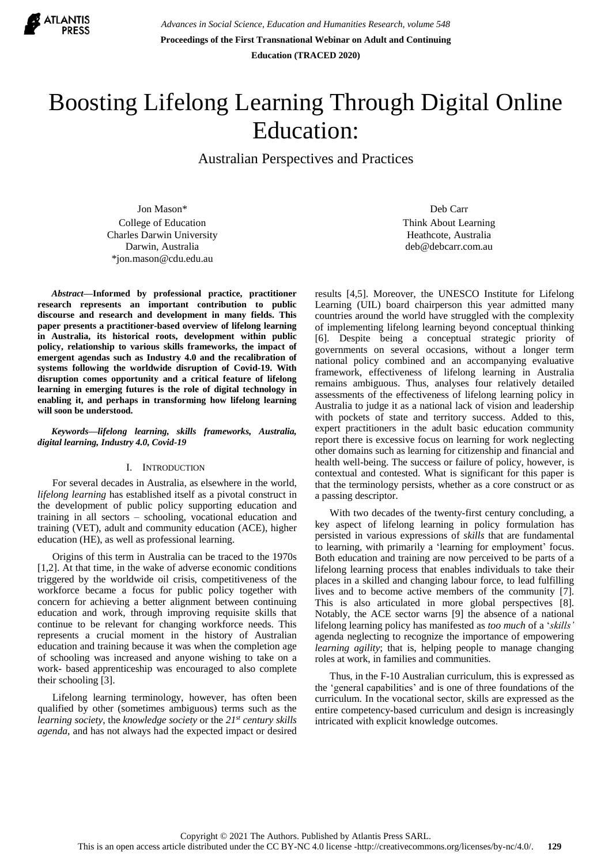

*Advances in Social Science, Education and Humanities Research, volume 548* **Proceedings of the First Transnational Webinar on Adult and Continuing Education (TRACED 2020)**

# Boosting Lifelong Learning Through Digital Online Education:

Australian Perspectives and Practices

Jon Mason\* College of Education Charles Darwin University Darwin, Australia \*jon.mason@cdu.edu.au

*Abstract***—Informed by professional practice, practitioner research represents an important contribution to public discourse and research and development in many fields. This paper presents a practitioner-based overview of lifelong learning in Australia, its historical roots, development within public policy, relationship to various skills frameworks, the impact of emergent agendas such as Industry 4.0 and the recalibration of systems following the worldwide disruption of Covid-19. With disruption comes opportunity and a critical feature of lifelong learning in emerging futures is the role of digital technology in enabling it, and perhaps in transforming how lifelong learning will soon be understood.**

*Keywords—lifelong learning, skills frameworks, Australia, digital learning, Industry 4.0, Covid-19*

# I. INTRODUCTION

For several decades in Australia, as elsewhere in the world, *lifelong learning* has established itself as a pivotal construct in the development of public policy supporting education and training in all sectors – schooling, vocational education and training (VET), adult and community education (ACE), higher education (HE), as well as professional learning.

Origins of this term in Australia can be traced to the 1970s [1,2]. At that time, in the wake of adverse economic conditions triggered by the worldwide oil crisis, competitiveness of the workforce became a focus for public policy together with concern for achieving a better alignment between continuing education and work, through improving requisite skills that continue to be relevant for changing workforce needs. This represents a crucial moment in the history of Australian education and training because it was when the completion age of schooling was increased and anyone wishing to take on a work- based apprenticeship was encouraged to also complete their schooling [3].

Lifelong learning terminology, however, has often been qualified by other (sometimes ambiguous) terms such as the *learning society*, the *knowledge society* or the *21st century skills agenda*, and has not always had the expected impact or desired

Deb Carr Think About Learning Heathcote, Australia deb@debcarr.com.au

results [4,5]. Moreover, the UNESCO Institute for Lifelong Learning (UIL) board chairperson this year admitted many countries around the world have struggled with the complexity of implementing lifelong learning beyond conceptual thinking [6]. Despite being a conceptual strategic priority of governments on several occasions, without a longer term national policy combined and an accompanying evaluative framework, effectiveness of lifelong learning in Australia remains ambiguous. Thus, analyses four relatively detailed assessments of the effectiveness of lifelong learning policy in Australia to judge it as a national lack of vision and leadership with pockets of state and territory success. Added to this, expert practitioners in the adult basic education community report there is excessive focus on learning for work neglecting other domains such as learning for citizenship and financial and health well-being. The success or failure of policy, however, is contextual and contested. What is significant for this paper is that the terminology persists, whether as a core construct or as a passing descriptor.

With two decades of the twenty-first century concluding, a key aspect of lifelong learning in policy formulation has persisted in various expressions of *skills* that are fundamental to learning, with primarily a 'learning for employment' focus. Both education and training are now perceived to be parts of a lifelong learning process that enables individuals to take their places in a skilled and changing labour force, to lead fulfilling lives and to become active members of the community [7]. This is also articulated in more global perspectives [8]. Notably, the ACE sector warns [9] the absence of a national lifelong learning policy has manifested as *too much* of a '*skills'* agenda neglecting to recognize the importance of empowering *learning agility*; that is, helping people to manage changing roles at work, in families and communities.

Thus, in the F-10 Australian curriculum, this is expressed as the 'general capabilities' and is one of three foundations of the curriculum. In the vocational sector, skills are expressed as the entire competency-based curriculum and design is increasingly intricated with explicit knowledge outcomes.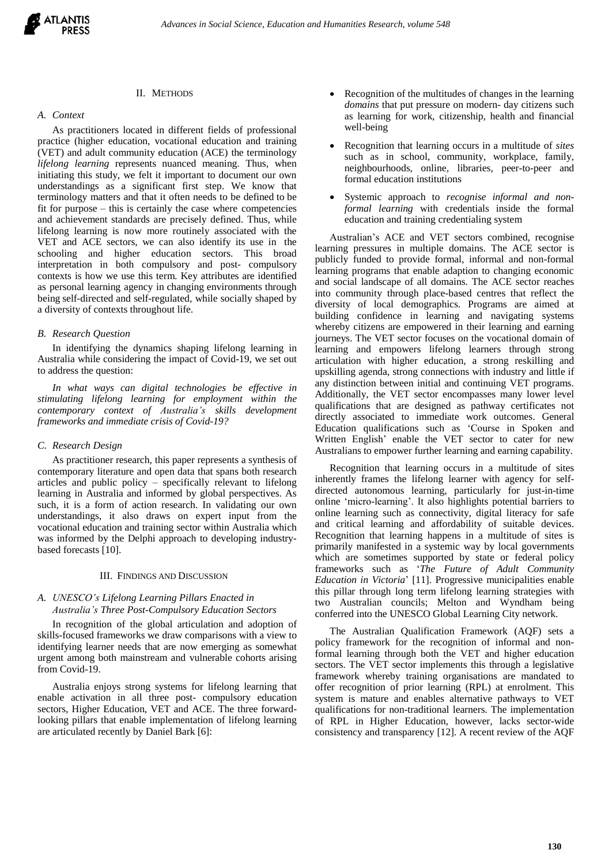# II. METHODS

#### *A. Context*

As practitioners located in different fields of professional practice (higher education, vocational education and training (VET) and adult community education (ACE) the terminology *lifelong learning* represents nuanced meaning. Thus, when initiating this study, we felt it important to document our own understandings as a significant first step. We know that terminology matters and that it often needs to be defined to be fit for purpose – this is certainly the case where competencies and achievement standards are precisely defined. Thus, while lifelong learning is now more routinely associated with the VET and ACE sectors, we can also identify its use in the schooling and higher education sectors. This broad interpretation in both compulsory and post- compulsory contexts is how we use this term. Key attributes are identified as personal learning agency in changing environments through being self-directed and self-regulated, while socially shaped by a diversity of contexts throughout life.

## *B. Research Question*

In identifying the dynamics shaping lifelong learning in Australia while considering the impact of Covid-19, we set out to address the question:

*In what ways can digital technologies be effective in stimulating lifelong learning for employment within the contemporary context of Australia's skills development frameworks and immediate crisis of Covid-19?*

#### *C. Research Design*

As practitioner research, this paper represents a synthesis of contemporary literature and open data that spans both research articles and public policy – specifically relevant to lifelong learning in Australia and informed by global perspectives. As such, it is a form of action research. In validating our own understandings, it also draws on expert input from the vocational education and training sector within Australia which was informed by the Delphi approach to developing industrybased forecasts [10].

#### III. FINDINGS AND DISCUSSION

# *A. UNESCO's Lifelong Learning Pillars Enacted in Australia's Three Post-Compulsory Education Sectors*

In recognition of the global articulation and adoption of skills-focused frameworks we draw comparisons with a view to identifying learner needs that are now emerging as somewhat urgent among both mainstream and vulnerable cohorts arising from Covid-19.

Australia enjoys strong systems for lifelong learning that enable activation in all three post- compulsory education sectors, Higher Education, VET and ACE. The three forwardlooking pillars that enable implementation of lifelong learning are articulated recently by Daniel Bark [6]:

- Recognition of the multitudes of changes in the learning *domains* that put pressure on modern- day citizens such as learning for work, citizenship, health and financial well-being
- Recognition that learning occurs in a multitude of *sites* such as in school, community, workplace, family, neighbourhoods, online, libraries, peer-to-peer and formal education institutions
- Systemic approach to *recognise informal and nonformal learning* with credentials inside the formal education and training credentialing system

Australian's ACE and VET sectors combined, recognise learning pressures in multiple domains. The ACE sector is publicly funded to provide formal, informal and non-formal learning programs that enable adaption to changing economic and social landscape of all domains. The ACE sector reaches into community through place-based centres that reflect the diversity of local demographics. Programs are aimed at building confidence in learning and navigating systems whereby citizens are empowered in their learning and earning journeys. The VET sector focuses on the vocational domain of learning and empowers lifelong learners through strong articulation with higher education, a strong reskilling and upskilling agenda, strong connections with industry and little if any distinction between initial and continuing VET programs. Additionally, the VET sector encompasses many lower level qualifications that are designed as pathway certificates not directly associated to immediate work outcomes. General Education qualifications such as 'Course in Spoken and Written English' enable the VET sector to cater for new Australians to empower further learning and earning capability.

Recognition that learning occurs in a multitude of sites inherently frames the lifelong learner with agency for selfdirected autonomous learning, particularly for just-in-time online 'micro-learning'. It also highlights potential barriers to online learning such as connectivity, digital literacy for safe and critical learning and affordability of suitable devices. Recognition that learning happens in a multitude of sites is primarily manifested in a systemic way by local governments which are sometimes supported by state or federal policy frameworks such as '*The Future of Adult Community Education in Victoria*' [11]. Progressive municipalities enable this pillar through long term lifelong learning strategies with two Australian councils; Melton and Wyndham being conferred into the UNESCO Global Learning City network.

The Australian Qualification Framework (AQF) sets a policy framework for the recognition of informal and nonformal learning through both the VET and higher education sectors. The VET sector implements this through a legislative framework whereby training organisations are mandated to offer recognition of prior learning (RPL) at enrolment. This system is mature and enables alternative pathways to VET qualifications for non-traditional learners. The implementation of RPL in Higher Education, however, lacks sector-wide consistency and transparency [12]. A recent review of the AQF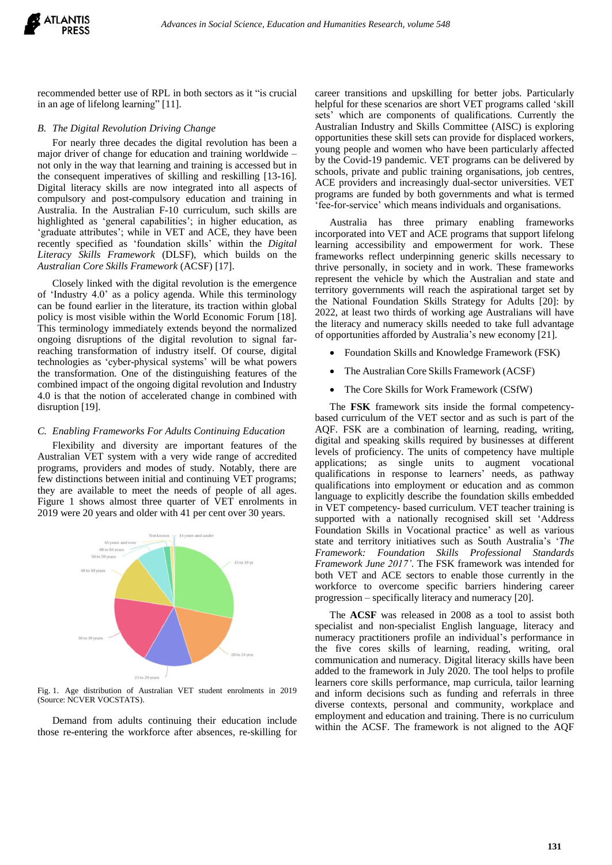

recommended better use of RPL in both sectors as it "is crucial in an age of lifelong learning" [11].

## *B. The Digital Revolution Driving Change*

For nearly three decades the digital revolution has been a major driver of change for education and training worldwide – not only in the way that learning and training is accessed but in the consequent imperatives of skilling and reskilling [13-16]. Digital literacy skills are now integrated into all aspects of compulsory and post-compulsory education and training in Australia. In the Australian F-10 curriculum, such skills are highlighted as 'general capabilities'; in higher education, as 'graduate attributes'; while in VET and ACE, they have been recently specified as 'foundation skills' within the *Digital Literacy Skills Framework* (DLSF), which builds on the *Australian Core Skills Framework* (ACSF) [17].

Closely linked with the digital revolution is the emergence of 'Industry 4.0' as a policy agenda. While this terminology can be found earlier in the literature, its traction within global policy is most visible within the World Economic Forum [18]. This terminology immediately extends beyond the normalized ongoing disruptions of the digital revolution to signal farreaching transformation of industry itself. Of course, digital technologies as 'cyber-physical systems' will be what powers the transformation. One of the distinguishing features of the combined impact of the ongoing digital revolution and Industry 4.0 is that the notion of accelerated change in combined with disruption [19].

# *C. Enabling Frameworks For Adults Continuing Education*

Flexibility and diversity are important features of the Australian VET system with a very wide range of accredited programs, providers and modes of study. Notably, there are few distinctions between initial and continuing VET programs; they are available to meet the needs of people of all ages. Figure 1 shows almost three quarter of VET enrolments in 2019 were 20 years and older with 41 per cent over 30 years.



Fig. 1. Age distribution of Australian VET student enrolments in 2019 (Source: NCVER VOCSTATS).

Demand from adults continuing their education include those re-entering the workforce after absences, re-skilling for career transitions and upskilling for better jobs. Particularly helpful for these scenarios are short VET programs called 'skill sets' which are components of qualifications. Currently the Australian Industry and Skills Committee (AISC) is exploring opportunities these skill sets can provide for displaced workers, young people and women who have been particularly affected by the Covid-19 pandemic. VET programs can be delivered by schools, private and public training organisations, job centres, ACE providers and increasingly dual-sector universities. VET programs are funded by both governments and what is termed 'fee-for-service' which means individuals and organisations.

Australia has three primary enabling frameworks incorporated into VET and ACE programs that support lifelong learning accessibility and empowerment for work. These frameworks reflect underpinning generic skills necessary to thrive personally, in society and in work. These frameworks represent the vehicle by which the Australian and state and territory governments will reach the aspirational target set by the National Foundation Skills Strategy for Adults [20]: by 2022, at least two thirds of working age Australians will have the literacy and numeracy skills needed to take full advantage of opportunities afforded by Australia's new economy [21].

- Foundation Skills and Knowledge Framework (FSK)
- The Australian Core Skills Framework (ACSF)
- The Core Skills for Work Framework (CSfW)

The **FSK** framework sits inside the formal competencybased curriculum of the VET sector and as such is part of the AQF. FSK are a combination of learning, reading, writing, digital and speaking skills required by businesses at different levels of proficiency. The units of competency have multiple applications; as single units to augment vocational qualifications in response to learners' needs, as pathway qualifications into employment or education and as common language to explicitly describe the foundation skills embedded in VET competency- based curriculum. VET teacher training is supported with a nationally recognised skill set 'Address Foundation Skills in Vocational practice' as well as various state and territory initiatives such as South Australia's '*The Framework: Foundation Skills Professional Standards Framework June 2017'*. The FSK framework was intended for both VET and ACE sectors to enable those currently in the workforce to overcome specific barriers hindering career progression – specifically literacy and numeracy [20].

The **ACSF** was released in 2008 as a tool to assist both specialist and non-specialist English language, literacy and numeracy practitioners profile an individual's performance in the five cores skills of learning, reading, writing, oral communication and numeracy. Digital literacy skills have been added to the framework in July 2020. The tool helps to profile learners core skills performance, map curricula, tailor learning and inform decisions such as funding and referrals in three diverse contexts, personal and community, workplace and employment and education and training. There is no curriculum within the ACSF. The framework is not aligned to the AQF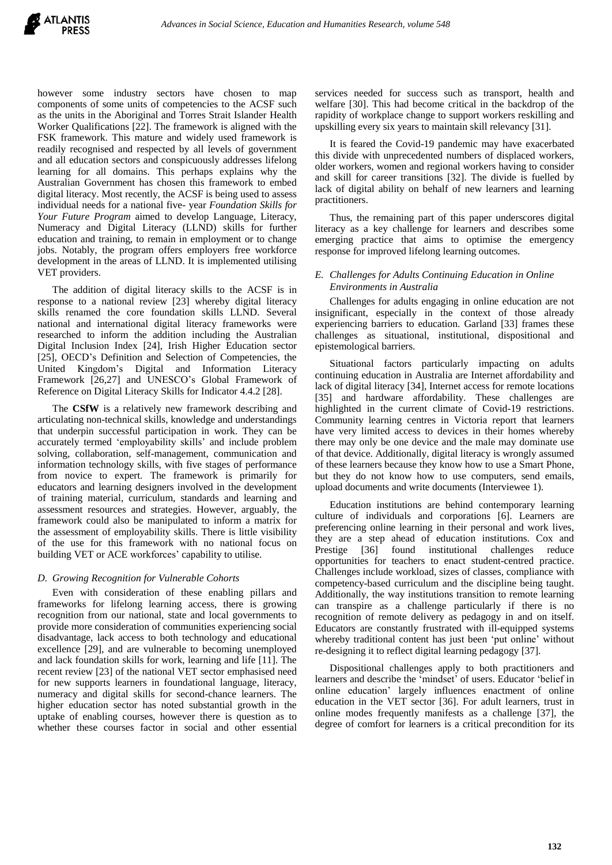

however some industry sectors have chosen to map components of some units of competencies to the ACSF such as the units in the Aboriginal and Torres Strait Islander Health Worker Qualifications [22]. The framework is aligned with the FSK framework. This mature and widely used framework is readily recognised and respected by all levels of government and all education sectors and conspicuously addresses lifelong learning for all domains. This perhaps explains why the Australian Government has chosen this framework to embed digital literacy. Most recently, the ACSF is being used to assess individual needs for a national five- year *Foundation Skills for Your Future Program* aimed to develop Language, Literacy, Numeracy and Digital Literacy (LLND) skills for further education and training, to remain in employment or to change jobs. Notably, the program offers employers free workforce development in the areas of LLND. It is implemented utilising VET providers.

The addition of digital literacy skills to the ACSF is in response to a national review [23] whereby digital literacy skills renamed the core foundation skills LLND. Several national and international digital literacy frameworks were researched to inform the addition including the Australian Digital Inclusion Index [24], Irish Higher Education sector [25], OECD's Definition and Selection of Competencies, the United Kingdom's Digital and Information Literacy Framework [26,27] and UNESCO's Global Framework of Reference on Digital Literacy Skills for Indicator 4.4.2 [28].

The **CSfW** is a relatively new framework describing and articulating non-technical skills, knowledge and understandings that underpin successful participation in work. They can be accurately termed 'employability skills' and include problem solving, collaboration, self-management, communication and information technology skills, with five stages of performance from novice to expert. The framework is primarily for educators and learning designers involved in the development of training material, curriculum, standards and learning and assessment resources and strategies. However, arguably, the framework could also be manipulated to inform a matrix for the assessment of employability skills. There is little visibility of the use for this framework with no national focus on building VET or ACE workforces' capability to utilise.

# *D. Growing Recognition for Vulnerable Cohorts*

Even with consideration of these enabling pillars and frameworks for lifelong learning access, there is growing recognition from our national, state and local governments to provide more consideration of communities experiencing social disadvantage, lack access to both technology and educational excellence [29], and are vulnerable to becoming unemployed and lack foundation skills for work, learning and life [11]. The recent review [23] of the national VET sector emphasised need for new supports learners in foundational language, literacy, numeracy and digital skills for second-chance learners. The higher education sector has noted substantial growth in the uptake of enabling courses, however there is question as to whether these courses factor in social and other essential

services needed for success such as transport, health and welfare [30]. This had become critical in the backdrop of the rapidity of workplace change to support workers reskilling and upskilling every six years to maintain skill relevancy [31].

It is feared the Covid-19 pandemic may have exacerbated this divide with unprecedented numbers of displaced workers, older workers, women and regional workers having to consider and skill for career transitions [32]. The divide is fuelled by lack of digital ability on behalf of new learners and learning practitioners.

Thus, the remaining part of this paper underscores digital literacy as a key challenge for learners and describes some emerging practice that aims to optimise the emergency response for improved lifelong learning outcomes.

# *E. Challenges for Adults Continuing Education in Online Environments in Australia*

Challenges for adults engaging in online education are not insignificant, especially in the context of those already experiencing barriers to education. Garland [33] frames these challenges as situational, institutional, dispositional and epistemological barriers.

Situational factors particularly impacting on adults continuing education in Australia are Internet affordability and lack of digital literacy [34], Internet access for remote locations [35] and hardware affordability. These challenges are highlighted in the current climate of Covid-19 restrictions. Community learning centres in Victoria report that learners have very limited access to devices in their homes whereby there may only be one device and the male may dominate use of that device. Additionally, digital literacy is wrongly assumed of these learners because they know how to use a Smart Phone, but they do not know how to use computers, send emails, upload documents and write documents (Interviewee 1).

Education institutions are behind contemporary learning culture of individuals and corporations [6]. Learners are preferencing online learning in their personal and work lives, they are a step ahead of education institutions. Cox and Prestige [36] found institutional challenges reduce opportunities for teachers to enact student-centred practice. Challenges include workload, sizes of classes, compliance with competency-based curriculum and the discipline being taught. Additionally, the way institutions transition to remote learning can transpire as a challenge particularly if there is no recognition of remote delivery as pedagogy in and on itself. Educators are constantly frustrated with ill-equipped systems whereby traditional content has just been 'put online' without re-designing it to reflect digital learning pedagogy [37].

Dispositional challenges apply to both practitioners and learners and describe the 'mindset' of users. Educator 'belief in online education' largely influences enactment of online education in the VET sector [36]. For adult learners, trust in online modes frequently manifests as a challenge [37], the degree of comfort for learners is a critical precondition for its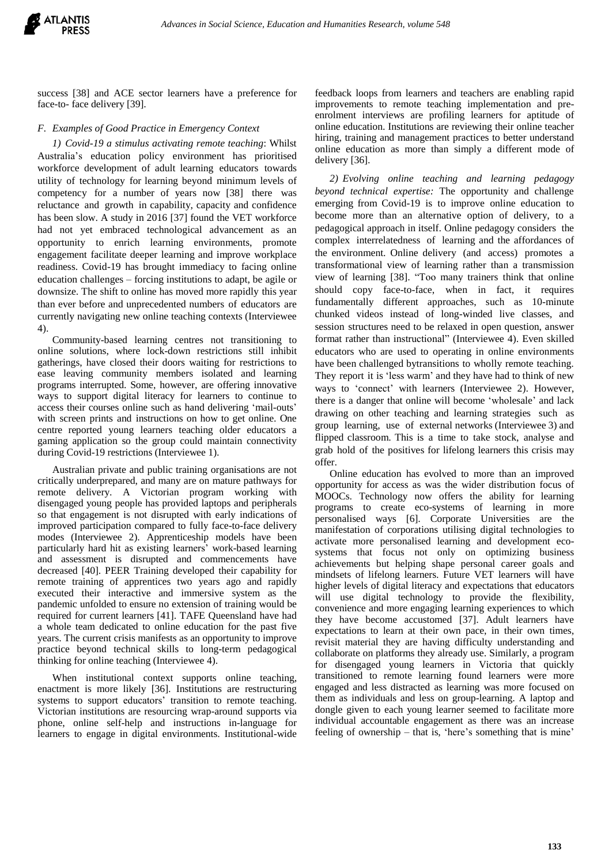

success [38] and ACE sector learners have a preference for face-to- face delivery [39].

# *F. Examples of Good Practice in Emergency Context*

*1) Covid-19 a stimulus activating remote teaching*: Whilst Australia's education policy environment has prioritised workforce development of adult learning educators towards utility of technology for learning beyond minimum levels of competency for a number of years now [38] there was reluctance and growth in capability, capacity and confidence has been slow. A study in 2016 [37] found the VET workforce had not yet embraced technological advancement as an opportunity to enrich learning environments, promote engagement facilitate deeper learning and improve workplace readiness. Covid-19 has brought immediacy to facing online education challenges – forcing institutions to adapt, be agile or downsize. The shift to online has moved more rapidly this year than ever before and unprecedented numbers of educators are currently navigating new online teaching contexts (Interviewee 4).

Community-based learning centres not transitioning to online solutions, where lock-down restrictions still inhibit gatherings, have closed their doors waiting for restrictions to ease leaving community members isolated and learning programs interrupted. Some, however, are offering innovative ways to support digital literacy for learners to continue to access their courses online such as hand delivering 'mail-outs' with screen prints and instructions on how to get online. One centre reported young learners teaching older educators a gaming application so the group could maintain connectivity during Covid-19 restrictions (Interviewee 1).

Australian private and public training organisations are not critically underprepared, and many are on mature pathways for remote delivery. A Victorian program working with disengaged young people has provided laptops and peripherals so that engagement is not disrupted with early indications of improved participation compared to fully face-to-face delivery modes (Interviewee 2). Apprenticeship models have been particularly hard hit as existing learners' work-based learning and assessment is disrupted and commencements have decreased [40]. PEER Training developed their capability for remote training of apprentices two years ago and rapidly executed their interactive and immersive system as the pandemic unfolded to ensure no extension of training would be required for current learners [41]. TAFE Queensland have had a whole team dedicated to online education for the past five years. The current crisis manifests as an opportunity to improve practice beyond technical skills to long-term pedagogical thinking for online teaching (Interviewee 4).

When institutional context supports online teaching, enactment is more likely [36]. Institutions are restructuring systems to support educators' transition to remote teaching. Victorian institutions are resourcing wrap-around supports via phone, online self-help and instructions in-language for learners to engage in digital environments. Institutional-wide

feedback loops from learners and teachers are enabling rapid improvements to remote teaching implementation and preenrolment interviews are profiling learners for aptitude of online education. Institutions are reviewing their online teacher hiring, training and management practices to better understand online education as more than simply a different mode of delivery [36].

*2) Evolving online teaching and learning pedagogy beyond technical expertise:* The opportunity and challenge emerging from Covid-19 is to improve online education to become more than an alternative option of delivery, to a pedagogical approach in itself. Online pedagogy considers the complex interrelatedness of learning and the affordances of the environment. Online delivery (and access) promotes a transformational view of learning rather than a transmission view of learning [38]. "Too many trainers think that online should copy face-to-face, when in fact, it requires fundamentally different approaches, such as 10-minute chunked videos instead of long-winded live classes, and session structures need to be relaxed in open question, answer format rather than instructional" (Interviewee 4). Even skilled educators who are used to operating in online environments have been challenged bytransitions to wholly remote teaching. They report it is 'less warm' and they have had to think of new ways to 'connect' with learners (Interviewee 2). However, there is a danger that online will become 'wholesale' and lack drawing on other teaching and learning strategies such as group learning, use of external networks (Interviewee 3) and flipped classroom. This is a time to take stock, analyse and grab hold of the positives for lifelong learners this crisis may offer.

Online education has evolved to more than an improved opportunity for access as was the wider distribution focus of MOOCs. Technology now offers the ability for learning programs to create eco-systems of learning in more personalised ways [6]. Corporate Universities are the manifestation of corporations utilising digital technologies to activate more personalised learning and development ecosystems that focus not only on optimizing business achievements but helping shape personal career goals and mindsets of lifelong learners. Future VET learners will have higher levels of digital literacy and expectations that educators will use digital technology to provide the flexibility, convenience and more engaging learning experiences to which they have become accustomed [37]. Adult learners have expectations to learn at their own pace, in their own times, revisit material they are having difficulty understanding and collaborate on platforms they already use. Similarly, a program for disengaged young learners in Victoria that quickly transitioned to remote learning found learners were more engaged and less distracted as learning was more focused on them as individuals and less on group-learning. A laptop and dongle given to each young learner seemed to facilitate more individual accountable engagement as there was an increase feeling of ownership – that is, 'here's something that is mine'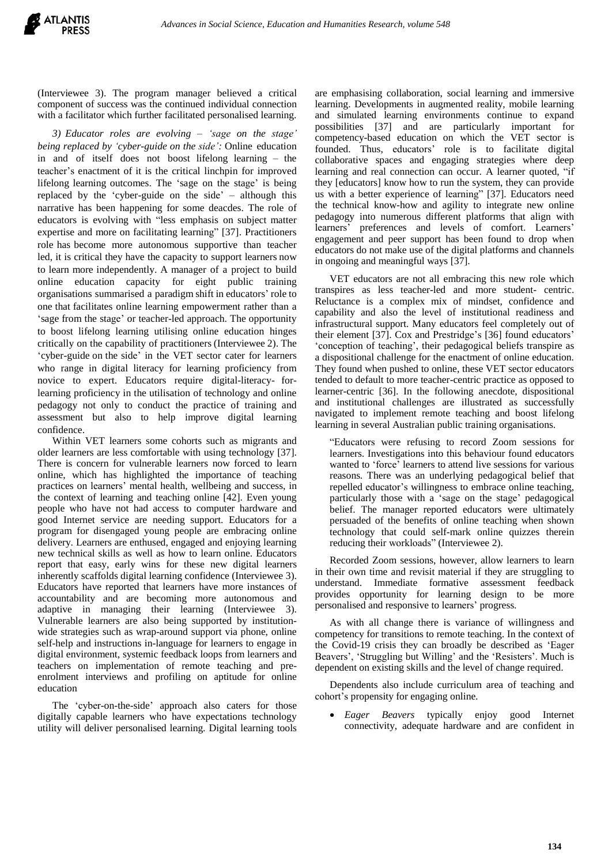(Interviewee 3). The program manager believed a critical component of success was the continued individual connection with a facilitator which further facilitated personalised learning.

*3) Educator roles are evolving – 'sage on the stage' being replaced by 'cyber-guide on the side':* Online education in and of itself does not boost lifelong learning – the teacher's enactment of it is the critical linchpin for improved lifelong learning outcomes. The 'sage on the stage' is being replaced by the 'cyber-guide on the side' – although this narrative has been happening for some deacdes. The role of educators is evolving with "less emphasis on subject matter expertise and more on facilitating learning" [37]. Practitioners role has become more autonomous supportive than teacher led, it is critical they have the capacity to support learners now to learn more independently. A manager of a project to build online education capacity for eight public training organisations summarised a paradigm shift in educators' role to one that facilitates online learning empowerment rather than a 'sage from the stage' or teacher-led approach. The opportunity to boost lifelong learning utilising online education hinges critically on the capability of practitioners (Interviewee 2). The 'cyber-guide on the side' in the VET sector cater for learners who range in digital literacy for learning proficiency from novice to expert. Educators require digital-literacy- forlearning proficiency in the utilisation of technology and online pedagogy not only to conduct the practice of training and assessment but also to help improve digital learning confidence.

Within VET learners some cohorts such as migrants and older learners are less comfortable with using technology [37]. There is concern for vulnerable learners now forced to learn online, which has highlighted the importance of teaching practices on learners' mental health, wellbeing and success, in the context of learning and teaching online [42]. Even young people who have not had access to computer hardware and good Internet service are needing support. Educators for a program for disengaged young people are embracing online delivery. Learners are enthused, engaged and enjoying learning new technical skills as well as how to learn online. Educators report that easy, early wins for these new digital learners inherently scaffolds digital learning confidence (Interviewee 3). Educators have reported that learners have more instances of accountability and are becoming more autonomous and adaptive in managing their learning (Interviewee 3). Vulnerable learners are also being supported by institutionwide strategies such as wrap-around support via phone, online self-help and instructions in-language for learners to engage in digital environment, systemic feedback loops from learners and teachers on implementation of remote teaching and preenrolment interviews and profiling on aptitude for online education

The 'cyber-on-the-side' approach also caters for those digitally capable learners who have expectations technology utility will deliver personalised learning. Digital learning tools

are emphasising collaboration, social learning and immersive learning. Developments in augmented reality, mobile learning and simulated learning environments continue to expand possibilities [37] and are particularly important for competency-based education on which the VET sector is founded. Thus, educators' role is to facilitate digital collaborative spaces and engaging strategies where deep learning and real connection can occur. A learner quoted, "if they [educators] know how to run the system, they can provide us with a better experience of learning" [37]. Educators need the technical know-how and agility to integrate new online pedagogy into numerous different platforms that align with learners' preferences and levels of comfort. Learners' engagement and peer support has been found to drop when educators do not make use of the digital platforms and channels in ongoing and meaningful ways [37].

VET educators are not all embracing this new role which transpires as less teacher-led and more student- centric. Reluctance is a complex mix of mindset, confidence and capability and also the level of institutional readiness and infrastructural support. Many educators feel completely out of their element [37]. Cox and Prestridge's [36] found educators' 'conception of teaching', their pedagogical beliefs transpire as a dispositional challenge for the enactment of online education. They found when pushed to online, these VET sector educators tended to default to more teacher-centric practice as opposed to learner-centric [36]. In the following anecdote, dispositional and institutional challenges are illustrated as successfully navigated to implement remote teaching and boost lifelong learning in several Australian public training organisations.

"Educators were refusing to record Zoom sessions for learners. Investigations into this behaviour found educators wanted to 'force' learners to attend live sessions for various reasons. There was an underlying pedagogical belief that repelled educator's willingness to embrace online teaching, particularly those with a 'sage on the stage' pedagogical belief. The manager reported educators were ultimately persuaded of the benefits of online teaching when shown technology that could self-mark online quizzes therein reducing their workloads" (Interviewee 2).

Recorded Zoom sessions, however, allow learners to learn in their own time and revisit material if they are struggling to understand. Immediate formative assessment feedback provides opportunity for learning design to be more personalised and responsive to learners' progress.

As with all change there is variance of willingness and competency for transitions to remote teaching. In the context of the Covid-19 crisis they can broadly be described as 'Eager Beavers', 'Struggling but Willing' and the 'Resisters'. Much is dependent on existing skills and the level of change required.

Dependents also include curriculum area of teaching and cohort's propensity for engaging online.

 *Eager Beavers* typically enjoy good Internet connectivity, adequate hardware and are confident in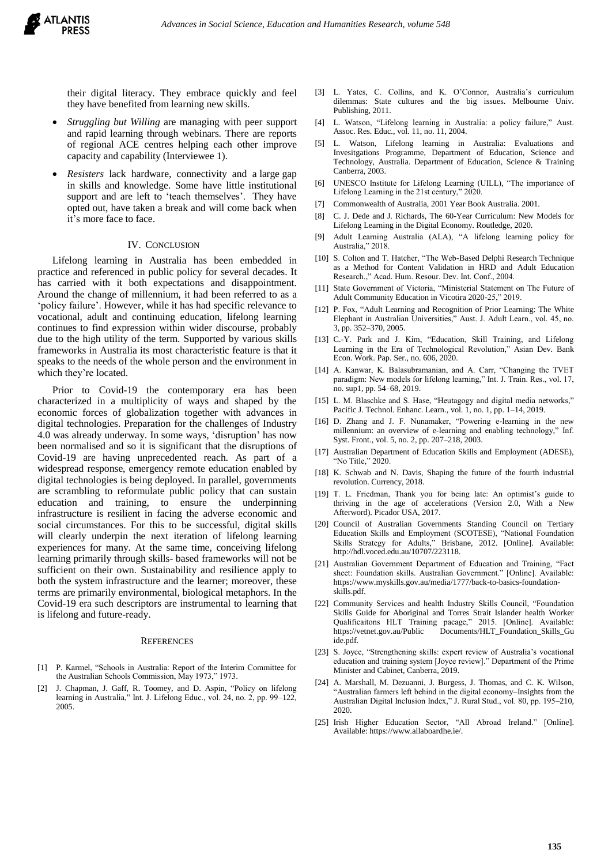their digital literacy. They embrace quickly and feel they have benefited from learning new skills.

- *Struggling but Willing* are managing with peer support and rapid learning through webinars. There are reports of regional ACE centres helping each other improve capacity and capability (Interviewee 1).
- *Resisters* lack hardware, connectivity and a large gap in skills and knowledge. Some have little institutional support and are left to 'teach themselves'. They have opted out, have taken a break and will come back when it's more face to face.

#### IV. CONCLUSION

Lifelong learning in Australia has been embedded in practice and referenced in public policy for several decades. It has carried with it both expectations and disappointment. Around the change of millennium, it had been referred to as a 'policy failure'. However, while it has had specific relevance to vocational, adult and continuing education, lifelong learning continues to find expression within wider discourse, probably due to the high utility of the term. Supported by various skills frameworks in Australia its most characteristic feature is that it speaks to the needs of the whole person and the environment in which they're located.

Prior to Covid-19 the contemporary era has been characterized in a multiplicity of ways and shaped by the economic forces of globalization together with advances in digital technologies. Preparation for the challenges of Industry 4.0 was already underway. In some ways, 'disruption' has now been normalised and so it is significant that the disruptions of Covid-19 are having unprecedented reach. As part of a widespread response, emergency remote education enabled by digital technologies is being deployed. In parallel, governments are scrambling to reformulate public policy that can sustain education and training, to ensure the underpinning infrastructure is resilient in facing the adverse economic and social circumstances. For this to be successful, digital skills will clearly underpin the next iteration of lifelong learning experiences for many. At the same time, conceiving lifelong learning primarily through skills- based frameworks will not be sufficient on their own. Sustainability and resilience apply to both the system infrastructure and the learner; moreover, these terms are primarily environmental, biological metaphors. In the Covid-19 era such descriptors are instrumental to learning that is lifelong and future-ready.

#### **REFERENCES**

- [1] P. Karmel, "Schools in Australia: Report of the Interim Committee for the Australian Schools Commission, May 1973," 1973.
- J. Chapman, J. Gaff, R. Toomey, and D. Aspin, "Policy on lifelong learning in Australia," Int. J. Lifelong Educ., vol. 24, no. 2, pp. 99–122, 2005.
- [3] L. Yates, C. Collins, and K. O'Connor, Australia's curriculum dilemmas: State cultures and the big issues. Melbourne Univ. Publishing, 2011.
- [4] L. Watson, "Lifelong learning in Australia: a policy failure," Aust. Assoc. Res. Educ., vol. 11, no. 11, 2004.
- [5] L. Watson, Lifelong learning in Australia: Evaluations and Invesitgations Programme, Department of Education, Science and Technology, Australia. Department of Education, Science & Training Canberra, 2003.
- [6] UNESCO Institute for Lifelong Learning (UILL), "The importance of Lifelong Learning in the 21st century," 2020.
- [7] Commonwealth of Australia, 2001 Year Book Australia. 2001.
- [8] C. J. Dede and J. Richards, The 60-Year Curriculum: New Models for Lifelong Learning in the Digital Economy. Routledge, 2020.
- [9] Adult Learning Australia (ALA), "A lifelong learning policy for Australia," 2018.
- [10] S. Colton and T. Hatcher, "The Web-Based Delphi Research Technique as a Method for Content Validation in HRD and Adult Education Research.," Acad. Hum. Resour. Dev. Int. Conf., 2004.
- [11] State Government of Victoria, "Ministerial Statement on The Future of Adult Community Education in Vicotira 2020-25," 2019.
- [12] P. Fox, "Adult Learning and Recognition of Prior Learning: The White Elephant in Australian Universities," Aust. J. Adult Learn., vol. 45, no. 3, pp. 352–370, 2005.
- [13] C.-Y. Park and J. Kim, "Education, Skill Training, and Lifelong Learning in the Era of Technological Revolution," Asian Dev. Bank Econ. Work. Pap. Ser., no. 606, 2020.
- [14] A. Kanwar, K. Balasubramanian, and A. Carr, "Changing the TVET paradigm: New models for lifelong learning," Int. J. Train. Res., vol. 17, no. sup1, pp. 54–68, 2019.
- [15] L. M. Blaschke and S. Hase, "Heutagogy and digital media networks," Pacific J. Technol. Enhanc. Learn., vol. 1, no. 1, pp. 1–14, 2019.
- [16] D. Zhang and J. F. Nunamaker, "Powering e-learning in the new millennium: an overview of e-learning and enabling technology," Inf. Syst. Front., vol. 5, no. 2, pp. 207–218, 2003.
- [17] Australian Department of Education Skills and Employment (ADESE), "No Title," 2020.
- [18] K. Schwab and N. Davis, Shaping the future of the fourth industrial revolution. Currency, 2018.
- [19] T. L. Friedman, Thank you for being late: An optimist's guide to thriving in the age of accelerations (Version 2.0, With a New Afterword). Picador USA, 2017.
- [20] Council of Australian Governments Standing Council on Tertiary Education Skills and Employment (SCOTESE), "National Foundation Skills Strategy for Adults," Brisbane, 2012. [Online]. Available: http://hdl.voced.edu.au/10707/223118.
- [21] Australian Government Department of Education and Training, "Fact sheet: Foundation skills. Australian Government." [Online]. Available: https://www.myskills.gov.au/media/1777/back-to-basics-foundationskills.pdf.
- [22] Community Services and health Industry Skills Council, "Foundation Skills Guide for Aboriginal and Torres Strait Islander health Worker Qualificaitons HLT Training pacage," 2015. [Online]. Available: Documents/HLT\_Foundation\_Skills\_Gu ide.pdf.
- [23] S. Joyce, "Strengthening skills: expert review of Australia's vocational education and training system [Joyce review]." Department of the Prime Minister and Cabinet, Canberra, 2019.
- [24] A. Marshall, M. Dezuanni, J. Burgess, J. Thomas, and C. K. Wilson, "Australian farmers left behind in the digital economy–Insights from the Australian Digital Inclusion Index," J. Rural Stud., vol. 80, pp. 195–210, 2020.
- [25] Irish Higher Education Sector, "All Abroad Ireland." [Online]. Available: https://www.allaboardhe.ie/.